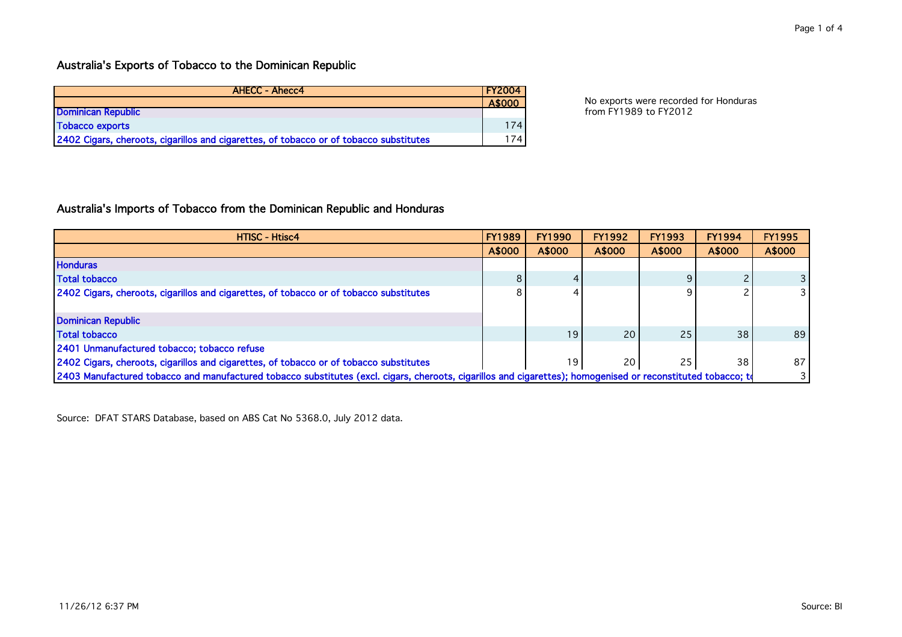| <b>AHECC - Ahecc4</b>                                                                  | <b>FY2004</b>    |                                       |
|----------------------------------------------------------------------------------------|------------------|---------------------------------------|
|                                                                                        | A\$000           | No exports were recorded for Honduras |
| Dominican Republic                                                                     |                  | from FY1989 to FY2012                 |
| Tobacco exports                                                                        | 174.             |                                       |
| 2402 Cigars, cheroots, cigarillos and cigarettes, of tobacco or of tobacco substitutes | 174 <sub>1</sub> |                                       |

## Australia's Imports of Tobacco from the Dominican Republic and Honduras

| <b>HTISC - Htisc4</b>                                                                                                                                        | <b>FY1989</b> | <b>FY1990</b> | <b>FY1992</b>   | <b>FY1993</b> | <b>FY1994</b> | <b>FY1995</b> |
|--------------------------------------------------------------------------------------------------------------------------------------------------------------|---------------|---------------|-----------------|---------------|---------------|---------------|
|                                                                                                                                                              | A\$000        | A\$000        | A\$000          | A\$000        | A\$000        | A\$000        |
| <b>Honduras</b>                                                                                                                                              |               |               |                 |               |               |               |
| <b>Total tobacco</b>                                                                                                                                         | 8             |               |                 |               |               |               |
| 2402 Cigars, cheroots, cigarillos and cigarettes, of tobacco or of tobacco substitutes                                                                       | 8             |               |                 |               |               |               |
|                                                                                                                                                              |               |               |                 |               |               |               |
| <b>Dominican Republic</b>                                                                                                                                    |               |               |                 |               |               |               |
| <b>Total tobacco</b>                                                                                                                                         |               | 19            | 20 <sub>1</sub> | 25            | 38            | 89            |
| 2401 Unmanufactured tobacco; tobacco refuse                                                                                                                  |               |               |                 |               |               |               |
| 2402 Cigars, cheroots, cigarillos and cigarettes, of tobacco or of tobacco substitutes                                                                       |               | 19            | 20              | 25            | 38            | 87            |
| 2403 Manufactured tobacco and manufactured tobacco substitutes (excl. cigars, cheroots, cigarillos and cigarettes); homogenised or reconstituted tobacco; to |               |               |                 |               |               |               |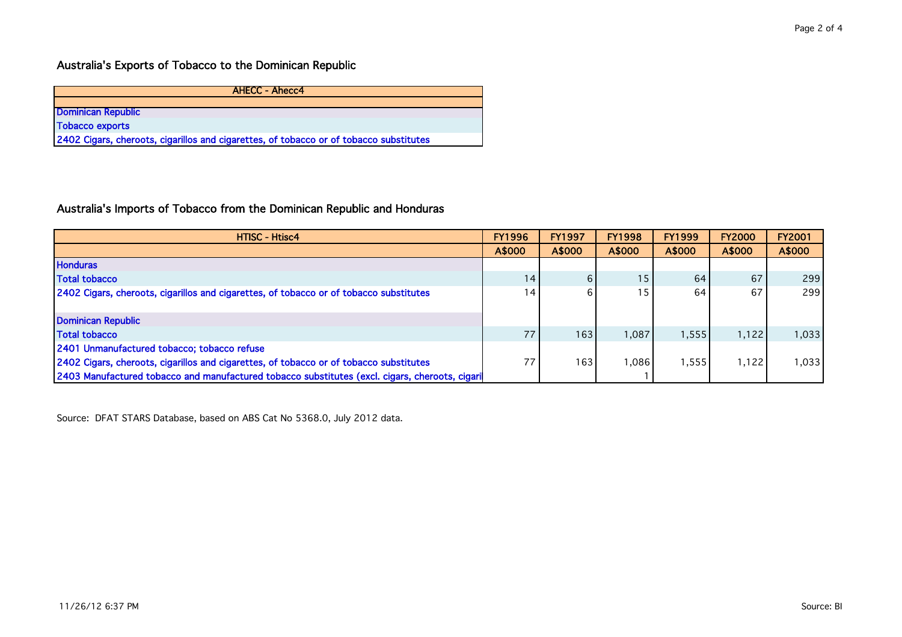| <b>AHECC - Ahecc4</b>                                                                  |
|----------------------------------------------------------------------------------------|
|                                                                                        |
| <b>Dominican Republic</b>                                                              |
| <b>Tobacco exports</b>                                                                 |
| 2402 Cigars, cheroots, cigarillos and cigarettes, of tobacco or of tobacco substitutes |

## Australia's Imports of Tobacco from the Dominican Republic and Honduras

| <b>HTISC - Htisc4</b>                                                                          | <b>FY1996</b> | <b>FY1997</b>    | <b>FY1998</b> | <b>FY1999</b> | <b>FY2000</b> | <b>FY2001</b> |
|------------------------------------------------------------------------------------------------|---------------|------------------|---------------|---------------|---------------|---------------|
|                                                                                                | A\$000        | A\$000           | A\$000        | A\$000        | A\$000        | A\$000        |
| <b>Honduras</b>                                                                                |               |                  |               |               |               |               |
| <b>Total tobacco</b>                                                                           | 14            | 6                | 15            | 64            | 67            | 299           |
| 2402 Cigars, cheroots, cigarillos and cigarettes, of tobacco or of tobacco substitutes         | 14            | 6                | 15            | 64            | 67            | 299           |
|                                                                                                |               |                  |               |               |               |               |
| Dominican Republic                                                                             |               |                  |               |               |               |               |
| <b>Total tobacco</b>                                                                           | 77            | 163              | 1,087         | 1,555         | 1,122         | 1,033         |
| 2401 Unmanufactured tobacco; tobacco refuse                                                    |               |                  |               |               |               |               |
| 2402 Cigars, cheroots, cigarillos and cigarettes, of tobacco or of tobacco substitutes         | 77            | 163 <sub>1</sub> | 1,086         | ,555          | 1,122         | 1,033         |
| 2403 Manufactured tobacco and manufactured tobacco substitutes (excl. cigars, cheroots, cigari |               |                  |               |               |               |               |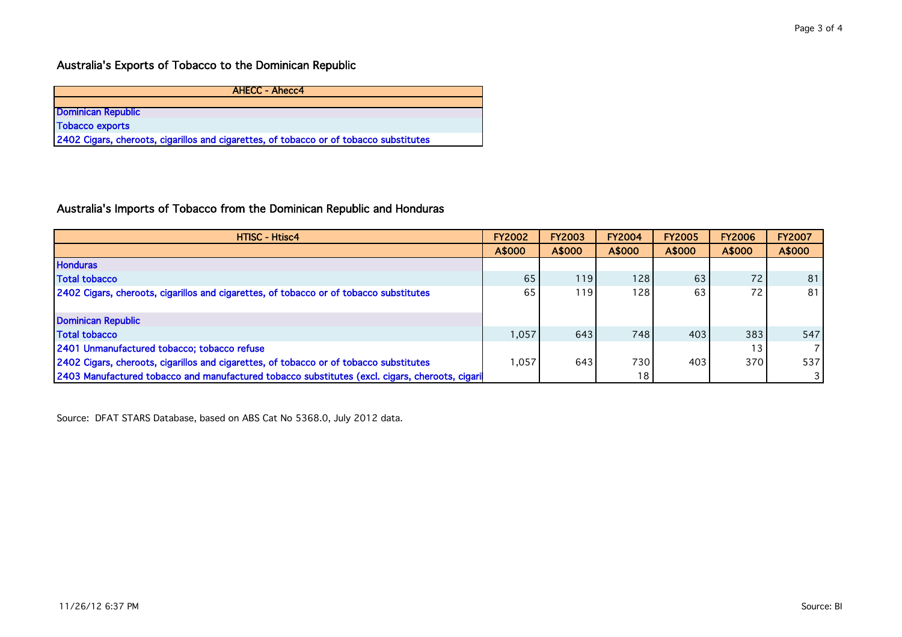| <b>AHECC - Ahecc4</b>                                                                  |
|----------------------------------------------------------------------------------------|
|                                                                                        |
| <b>Dominican Republic</b>                                                              |
| <b>Tobacco exports</b>                                                                 |
| 2402 Cigars, cheroots, cigarillos and cigarettes, of tobacco or of tobacco substitutes |

## Australia's Imports of Tobacco from the Dominican Republic and Honduras

| <b>HTISC - Htisc4</b>                                                                          | <b>FY2002</b> | <b>FY2003</b> | <b>FY2004</b>    | <b>FY2005</b> | <b>FY2006</b> | <b>FY2007</b> |
|------------------------------------------------------------------------------------------------|---------------|---------------|------------------|---------------|---------------|---------------|
|                                                                                                | A\$000        | A\$000        | A\$000           | A\$000        | A\$000        | A\$000        |
| <b>Honduras</b>                                                                                |               |               |                  |               |               |               |
| <b>Total tobacco</b>                                                                           | 65            | 119 I         | 128 <sub>1</sub> | 63            | 72            | 81            |
| 2402 Cigars, cheroots, cigarillos and cigarettes, of tobacco or of tobacco substitutes         | 65            | 119           | 128 <sub>1</sub> | 63            | 72            | 81            |
|                                                                                                |               |               |                  |               |               |               |
| Dominican Republic                                                                             |               |               |                  |               |               |               |
| <b>Total tobacco</b>                                                                           | 1,057         | 643           | 748              | 403           | 383           | 547           |
| 2401 Unmanufactured tobacco; tobacco refuse                                                    |               |               |                  |               |               |               |
| 2402 Cigars, cheroots, cigarillos and cigarettes, of tobacco or of tobacco substitutes         | 1.057         | 643           | 730              | 403           | 370           | 537           |
| 2403 Manufactured tobacco and manufactured tobacco substitutes (excl. cigars, cheroots, cigari |               |               | 18               |               |               |               |